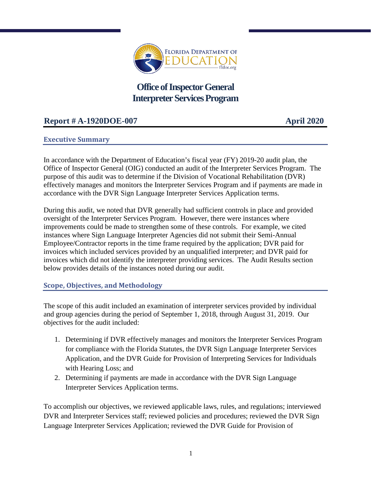

# **Office of Inspector General Interpreter ServicesProgram**

## **Report # A-1920DOE-007 April 2020**

#### **Executive Summary**

In accordance with the Department of Education's fiscal year (FY) 2019-20 audit plan, the Office of Inspector General (OIG) conducted an audit of the Interpreter Services Program. The purpose of this audit was to determine if the Division of Vocational Rehabilitation (DVR) effectively manages and monitors the Interpreter Services Program and if payments are made in accordance with the DVR Sign Language Interpreter Services Application terms.

During this audit, we noted that DVR generally had sufficient controls in place and provided oversight of the Interpreter Services Program. However, there were instances where improvements could be made to strengthen some of these controls. For example, we cited instances where Sign Language Interpreter Agencies did not submit their Semi-Annual Employee/Contractor reports in the time frame required by the application; DVR paid for invoices which included services provided by an unqualified interpreter; and DVR paid for invoices which did not identify the interpreter providing services. The Audit Results section below provides details of the instances noted during our audit.

#### **Scope, Objectives, and Methodology**

The scope of this audit included an examination of interpreter services provided by individual and group agencies during the period of September 1, 2018, through August 31, 2019. Our objectives for the audit included:

- 1. Determining if DVR effectively manages and monitors the Interpreter Services Program for compliance with the Florida Statutes, the DVR Sign Language Interpreter Services Application, and the DVR Guide for Provision of Interpreting Services for Individuals with Hearing Loss; and
- 2. Determining if payments are made in accordance with the DVR Sign Language Interpreter Services Application terms.

To accomplish our objectives, we reviewed applicable laws, rules, and regulations; interviewed DVR and Interpreter Services staff; reviewed policies and procedures; reviewed the DVR Sign Language Interpreter Services Application; reviewed the DVR Guide for Provision of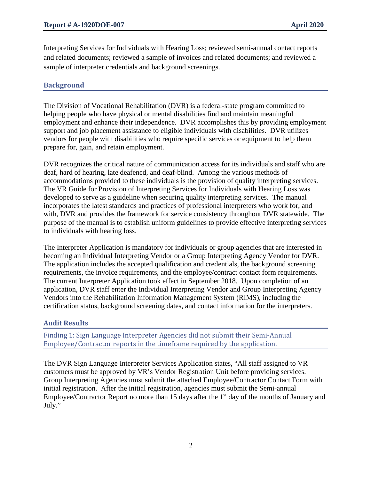Interpreting Services for Individuals with Hearing Loss; reviewed semi-annual contact reports and related documents; reviewed a sample of invoices and related documents; and reviewed a sample of interpreter credentials and background screenings.

### **Background**

The Division of Vocational Rehabilitation (DVR) is a federal-state program committed to helping people who have physical or mental disabilities find and maintain meaningful employment and enhance their independence. DVR accomplishes this by providing employment support and job placement assistance to eligible individuals with disabilities. DVR utilizes vendors for people with disabilities who require specific services or equipment to help them prepare for, gain, and retain employment.

DVR recognizes the critical nature of communication access for its individuals and staff who are deaf, hard of hearing, late deafened, and deaf-blind. Among the various methods of accommodations provided to these individuals is the provision of quality interpreting services. The VR Guide for Provision of Interpreting Services for Individuals with Hearing Loss was developed to serve as a guideline when securing quality interpreting services. The manual incorporates the latest standards and practices of professional interpreters who work for, and with, DVR and provides the framework for service consistency throughout DVR statewide. The purpose of the manual is to establish uniform guidelines to provide effective interpreting services to individuals with hearing loss.

The Interpreter Application is mandatory for individuals or group agencies that are interested in becoming an Individual Interpreting Vendor or a Group Interpreting Agency Vendor for DVR. The application includes the accepted qualification and credentials, the background screening requirements, the invoice requirements, and the employee/contract contact form requirements. The current Interpreter Application took effect in September 2018. Upon completion of an application, DVR staff enter the Individual Interpreting Vendor and Group Interpreting Agency Vendors into the Rehabilitation Information Management System (RIMS), including the certification status, background screening dates, and contact information for the interpreters.

#### **Audit Results**

Finding 1: Sign Language Interpreter Agencies did not submit their Semi-Annual Employee/Contractor reports in the timeframe required by the application.

The DVR Sign Language Interpreter Services Application states, "All staff assigned to VR customers must be approved by VR's Vendor Registration Unit before providing services. Group Interpreting Agencies must submit the attached Employee/Contractor Contact Form with initial registration. After the initial registration, agencies must submit the Semi-annual Employee/Contractor Report no more than 15 days after the  $1<sup>st</sup>$  day of the months of January and July."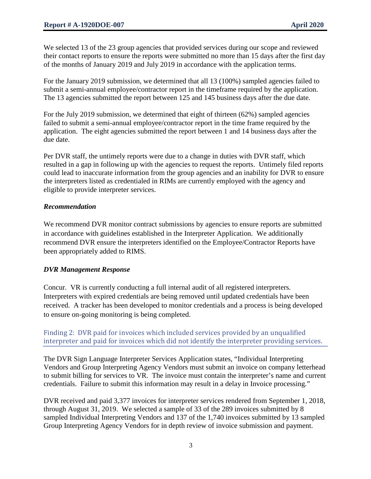We selected 13 of the 23 group agencies that provided services during our scope and reviewed their contact reports to ensure the reports were submitted no more than 15 days after the first day of the months of January 2019 and July 2019 in accordance with the application terms.

For the January 2019 submission, we determined that all 13 (100%) sampled agencies failed to submit a semi-annual employee/contractor report in the timeframe required by the application. The 13 agencies submitted the report between 125 and 145 business days after the due date.

For the July 2019 submission, we determined that eight of thirteen (62%) sampled agencies failed to submit a semi-annual employee/contractor report in the time frame required by the application. The eight agencies submitted the report between 1 and 14 business days after the due date.

Per DVR staff, the untimely reports were due to a change in duties with DVR staff, which resulted in a gap in following up with the agencies to request the reports. Untimely filed reports could lead to inaccurate information from the group agencies and an inability for DVR to ensure the interpreters listed as credentialed in RIMs are currently employed with the agency and eligible to provide interpreter services.

#### *Recommendation*

We recommend DVR monitor contract submissions by agencies to ensure reports are submitted in accordance with guidelines established in the Interpreter Application. We additionally recommend DVR ensure the interpreters identified on the Employee/Contractor Reports have been appropriately added to RIMS.

#### *DVR Management Response*

Concur. VR is currently conducting a full internal audit of all registered interpreters. Interpreters with expired credentials are being removed until updated credentials have been received. A tracker has been developed to monitor credentials and a process is being developed to ensure on-going monitoring is being completed.

Finding 2: DVR paid for invoices which included services provided by an unqualified interpreter and paid for invoices which did not identify the interpreter providing services.

The DVR Sign Language Interpreter Services Application states, "Individual Interpreting Vendors and Group Interpreting Agency Vendors must submit an invoice on company letterhead to submit billing for services to VR. The invoice must contain the interpreter's name and current credentials. Failure to submit this information may result in a delay in Invoice processing."

DVR received and paid 3,377 invoices for interpreter services rendered from September 1, 2018, through August 31, 2019. We selected a sample of 33 of the 289 invoices submitted by 8 sampled Individual Interpreting Vendors and 137 of the 1,740 invoices submitted by 13 sampled Group Interpreting Agency Vendors for in depth review of invoice submission and payment.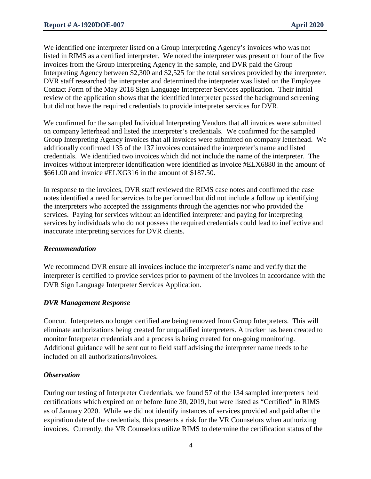We identified one interpreter listed on a Group Interpreting Agency's invoices who was not listed in RIMS as a certified interpreter. We noted the interpreter was present on four of the five invoices from the Group Interpreting Agency in the sample, and DVR paid the Group Interpreting Agency between \$2,300 and \$2,525 for the total services provided by the interpreter. DVR staff researched the interpreter and determined the interpreter was listed on the Employee Contact Form of the May 2018 Sign Language Interpreter Services application. Their initial review of the application shows that the identified interpreter passed the background screening but did not have the required credentials to provide interpreter services for DVR.

We confirmed for the sampled Individual Interpreting Vendors that all invoices were submitted on company letterhead and listed the interpreter's credentials. We confirmed for the sampled Group Interpreting Agency invoices that all invoices were submitted on company letterhead. We additionally confirmed 135 of the 137 invoices contained the interpreter's name and listed credentials. We identified two invoices which did not include the name of the interpreter. The invoices without interpreter identification were identified as invoice #ELX6880 in the amount of \$661.00 and invoice #ELXG316 in the amount of \$187.50.

In response to the invoices, DVR staff reviewed the RIMS case notes and confirmed the case notes identified a need for services to be performed but did not include a follow up identifying the interpreters who accepted the assignments through the agencies nor who provided the services. Paying for services without an identified interpreter and paying for interpreting services by individuals who do not possess the required credentials could lead to ineffective and inaccurate interpreting services for DVR clients.

#### *Recommendation*

We recommend DVR ensure all invoices include the interpreter's name and verify that the interpreter is certified to provide services prior to payment of the invoices in accordance with the DVR Sign Language Interpreter Services Application.

#### *DVR Management Response*

Concur. Interpreters no longer certified are being removed from Group Interpreters. This will eliminate authorizations being created for unqualified interpreters. A tracker has been created to monitor Interpreter credentials and a process is being created for on-going monitoring. Additional guidance will be sent out to field staff advising the interpreter name needs to be included on all authorizations/invoices.

#### *Observation*

During our testing of Interpreter Credentials, we found 57 of the 134 sampled interpreters held certifications which expired on or before June 30, 2019, but were listed as "Certified" in RIMS as of January 2020. While we did not identify instances of services provided and paid after the expiration date of the credentials, this presents a risk for the VR Counselors when authorizing invoices. Currently, the VR Counselors utilize RIMS to determine the certification status of the